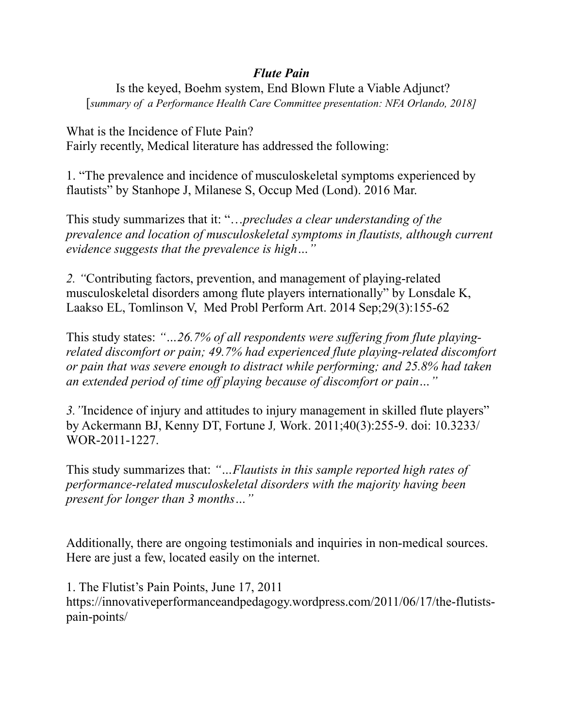## *Flute Pain*

 Is the keyed, Boehm system, End Blown Flute a Viable Adjunct? [*summary of a Performance Health Care Committee presentation: NFA Orlando, 2018]* 

What is the Incidence of Flute Pain? Fairly recently, Medical literature has addressed the following:

1. "The prevalence and incidence of musculoskeletal symptoms experienced by flautists" by Stanhope J, Milanese S, Occup Med (Lond). 2016 Mar.

This study summarizes that it: "…*precludes a clear understanding of the prevalence and location of musculoskeletal symptoms in flautists, although current evidence suggests that the prevalence is high…"* 

*2. "*Contributing factors, prevention, and management of playing-related musculoskeletal disorders among flute players internationally" by Lonsdale K, Laakso EL, Tomlinson V, Med Probl Perform Art. 2014 Sep;29(3):155-62

This study states: *"…26.7% of all respondents were suffering from flute playingrelated discomfort or pain; 49.7% had experienced flute playing-related discomfort or pain that was severe enough to distract while performing; and 25.8% had taken an extended period of time off playing because of discomfort or pain…"* 

*3."*Incidence of injury and attitudes to injury management in skilled flute players" by Ackermann BJ, Kenny DT, Fortune J*,* Work. 2011;40(3):255-9. doi: 10.3233/ WOR-2011-1227.

This study summarizes that: *"…Flautists in this sample reported high rates of performance-related musculoskeletal disorders with the majority having been present for longer than 3 months…"*

Additionally, there are ongoing testimonials and inquiries in non-medical sources. Here are just a few, located easily on the internet.

1. The Flutist's Pain Points, June 17, 2011 https://innovativeperformanceandpedagogy.wordpress.com/2011/06/17/the-flutistspain-points/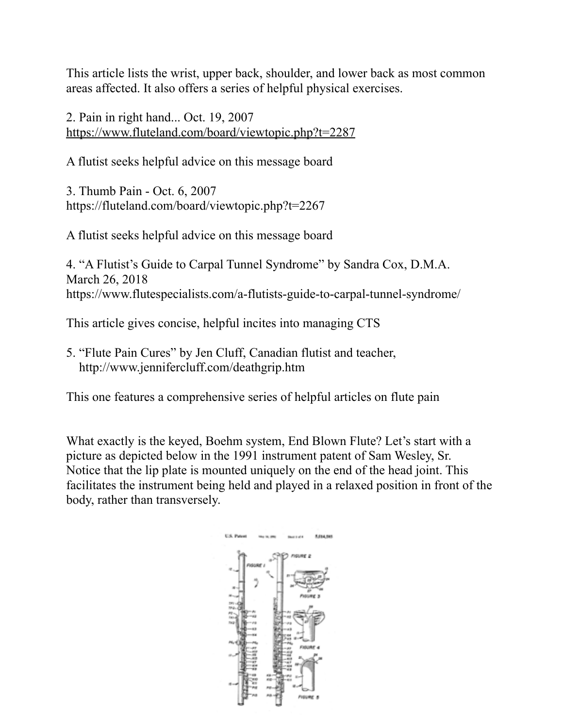This article lists the wrist, upper back, shoulder, and lower back as most common areas affected. It also offers a series of helpful physical exercises.

2. Pain in right hand... Oct. 19, 2007 <https://www.fluteland.com/board/viewtopic.php?t=2287>

A flutist seeks helpful advice on this message board

3. Thumb Pain - Oct. 6, 2007 https://fluteland.com/board/viewtopic.php?t=2267

A flutist seeks helpful advice on this message board

4. "A Flutist's Guide to Carpal Tunnel Syndrome" by Sandra Cox, D.M.A. March 26, 2018 https://www.flutespecialists.com/a-flutists-guide-to-carpal-tunnel-syndrome/

This article gives concise, helpful incites into managing CTS

5. "Flute Pain Cures" by Jen Cluff, Canadian flutist and teacher, http://www.jennifercluff.com/deathgrip.htm

This one features a comprehensive series of helpful articles on flute pain

What exactly is the keyed, Boehm system, End Blown Flute? Let's start with a picture as depicted below in the 1991 instrument patent of Sam Wesley, Sr. Notice that the lip plate is mounted uniquely on the end of the head joint. This facilitates the instrument being held and played in a relaxed position in front of the body, rather than transversely.

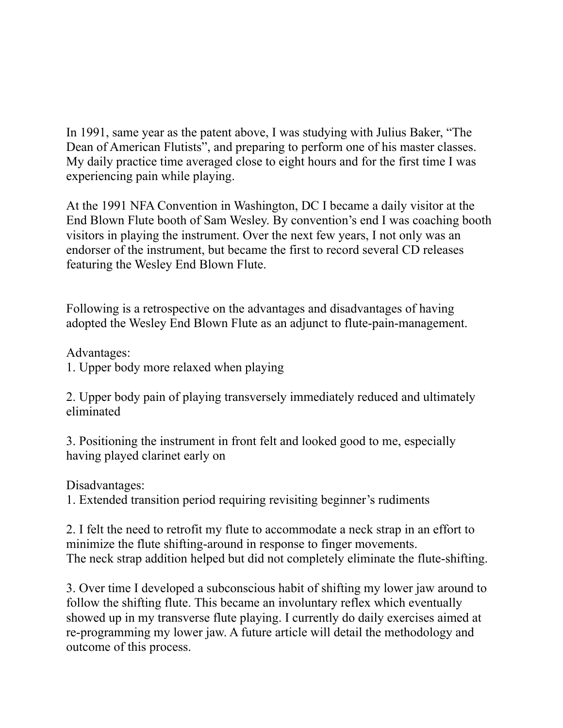In 1991, same year as the patent above, I was studying with Julius Baker, "The Dean of American Flutists", and preparing to perform one of his master classes. My daily practice time averaged close to eight hours and for the first time I was experiencing pain while playing.

At the 1991 NFA Convention in Washington, DC I became a daily visitor at the End Blown Flute booth of Sam Wesley. By convention's end I was coaching booth visitors in playing the instrument. Over the next few years, I not only was an endorser of the instrument, but became the first to record several CD releases featuring the Wesley End Blown Flute.

Following is a retrospective on the advantages and disadvantages of having adopted the Wesley End Blown Flute as an adjunct to flute-pain-management.

Advantages:

1. Upper body more relaxed when playing

2. Upper body pain of playing transversely immediately reduced and ultimately eliminated

3. Positioning the instrument in front felt and looked good to me, especially having played clarinet early on

Disadvantages:

1. Extended transition period requiring revisiting beginner's rudiments

2. I felt the need to retrofit my flute to accommodate a neck strap in an effort to minimize the flute shifting-around in response to finger movements. The neck strap addition helped but did not completely eliminate the flute-shifting.

3. Over time I developed a subconscious habit of shifting my lower jaw around to follow the shifting flute. This became an involuntary reflex which eventually showed up in my transverse flute playing. I currently do daily exercises aimed at re-programming my lower jaw. A future article will detail the methodology and outcome of this process.